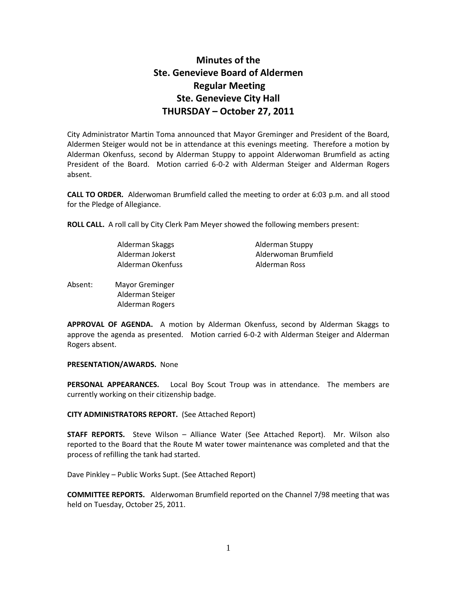# **Minutes of the Ste. Genevieve Board of Aldermen Regular Meeting Ste. Genevieve City Hall THURSDAY – October 27, 2011**

City Administrator Martin Toma announced that Mayor Greminger and President of the Board, Aldermen Steiger would not be in attendance at this evenings meeting. Therefore a motion by Alderman Okenfuss, second by Alderman Stuppy to appoint Alderwoman Brumfield as acting President of the Board. Motion carried 6-0-2 with Alderman Steiger and Alderman Rogers absent.

**CALL TO ORDER.** Alderwoman Brumfield called the meeting to order at 6:03 p.m. and all stood for the Pledge of Allegiance.

**ROLL CALL.** A roll call by City Clerk Pam Meyer showed the following members present:

| Alderman Skaggs   | Alderman Stuppy      |
|-------------------|----------------------|
| Alderman Jokerst  | Alderwoman Brumfield |
| Alderman Okenfuss | Alderman Ross        |

Absent: Mayor Greminger Alderman Steiger Alderman Rogers

**APPROVAL OF AGENDA.** A motion by Alderman Okenfuss, second by Alderman Skaggs to approve the agenda as presented. Motion carried 6-0-2 with Alderman Steiger and Alderman Rogers absent.

**PRESENTATION/AWARDS.** None

**PERSONAL APPEARANCES.** Local Boy Scout Troup was in attendance. The members are currently working on their citizenship badge.

### **CITY ADMINISTRATORS REPORT.** (See Attached Report)

**STAFF REPORTS.** Steve Wilson – Alliance Water (See Attached Report). Mr. Wilson also reported to the Board that the Route M water tower maintenance was completed and that the process of refilling the tank had started.

Dave Pinkley – Public Works Supt. (See Attached Report)

**COMMITTEE REPORTS.** Alderwoman Brumfield reported on the Channel 7/98 meeting that was held on Tuesday, October 25, 2011.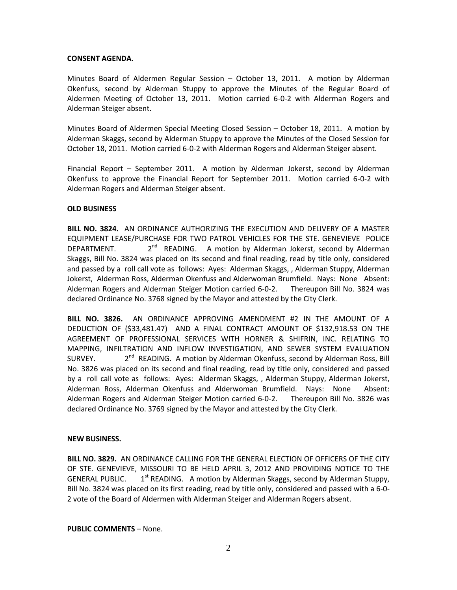#### **CONSENT AGENDA.**

Minutes Board of Aldermen Regular Session – October 13, 2011. A motion by Alderman Okenfuss, second by Alderman Stuppy to approve the Minutes of the Regular Board of Aldermen Meeting of October 13, 2011. Motion carried 6-0-2 with Alderman Rogers and Alderman Steiger absent.

Minutes Board of Aldermen Special Meeting Closed Session – October 18, 2011. A motion by Alderman Skaggs, second by Alderman Stuppy to approve the Minutes of the Closed Session for October 18, 2011. Motion carried 6-0-2 with Alderman Rogers and Alderman Steiger absent.

Financial Report – September 2011. A motion by Alderman Jokerst, second by Alderman Okenfuss to approve the Financial Report for September 2011. Motion carried 6-0-2 with Alderman Rogers and Alderman Steiger absent.

### **OLD BUSINESS**

**BILL NO. 3824.** AN ORDINANCE AUTHORIZING THE EXECUTION AND DELIVERY OF A MASTER EQUIPMENT LEASE/PURCHASE FOR TWO PATROL VEHICLES FOR THE STE. GENEVIEVE POLICE DEPARTMENT.  $2^{nd}$  READING. A motion by Alderman Jokerst, second by Alderman Skaggs, Bill No. 3824 was placed on its second and final reading, read by title only, considered and passed by a roll call vote as follows: Ayes: Alderman Skaggs, , Alderman Stuppy, Alderman Jokerst, Alderman Ross, Alderman Okenfuss and Alderwoman Brumfield. Nays: None Absent: Alderman Rogers and Alderman Steiger Motion carried 6-0-2. Thereupon Bill No. 3824 was declared Ordinance No. 3768 signed by the Mayor and attested by the City Clerk.

**BILL NO. 3826.** AN ORDINANCE APPROVING AMENDMENT #2 IN THE AMOUNT OF A DEDUCTION OF (\$33,481.47) AND A FINAL CONTRACT AMOUNT OF \$132,918.53 ON THE AGREEMENT OF PROFESSIONAL SERVICES WITH HORNER & SHIFRIN, INC. RELATING TO MAPPING, INFILTRATION AND INFLOW INVESTIGATION, AND SEWER SYSTEM EVALUATION SURVEY. <sup>nd</sup> READING. A motion by Alderman Okenfuss, second by Alderman Ross, Bill No. 3826 was placed on its second and final reading, read by title only, considered and passed by a roll call vote as follows: Ayes: Alderman Skaggs, , Alderman Stuppy, Alderman Jokerst, Alderman Ross, Alderman Okenfuss and Alderwoman Brumfield. Nays: None Absent: Alderman Rogers and Alderman Steiger Motion carried 6-0-2. Thereupon Bill No. 3826 was declared Ordinance No. 3769 signed by the Mayor and attested by the City Clerk.

### **NEW BUSINESS.**

**BILL NO. 3829.** AN ORDINANCE CALLING FOR THE GENERAL ELECTION OF OFFICERS OF THE CITY OF STE. GENEVIEVE, MISSOURI TO BE HELD APRIL 3, 2012 AND PROVIDING NOTICE TO THE GENERAL PUBLIC. 1 1<sup>st</sup> READING. A motion by Alderman Skaggs, second by Alderman Stuppy, Bill No. 3824 was placed on its first reading, read by title only, considered and passed with a 6-0- 2 vote of the Board of Aldermen with Alderman Steiger and Alderman Rogers absent.

**PUBLIC COMMENTS** – None.